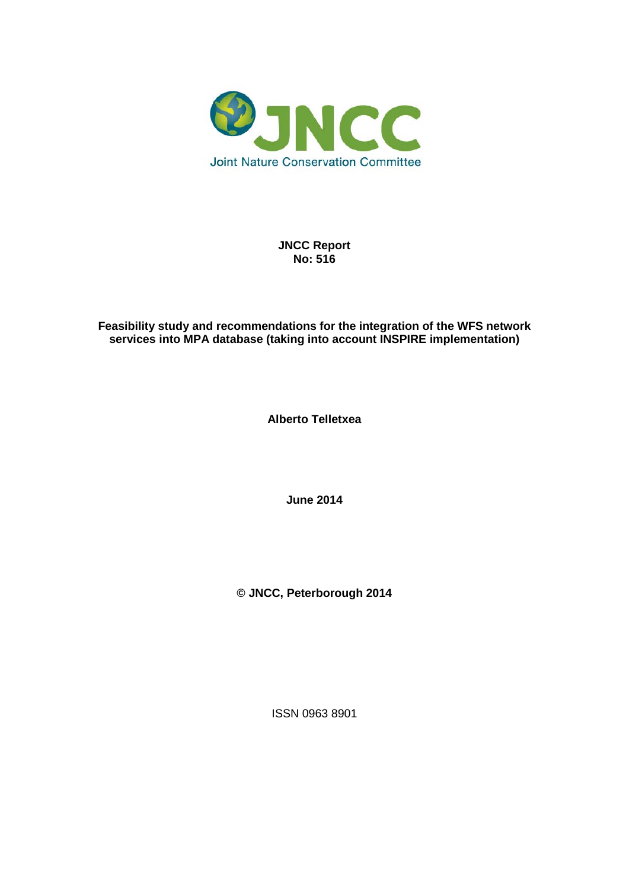

**JNCC Report No: 516**

#### **Feasibility study and recommendations for the integration of the WFS network services into MPA database (taking into account INSPIRE implementation)**

**Alberto Telletxea**

**June 2014**

**© JNCC, Peterborough 2014**

ISSN 0963 8901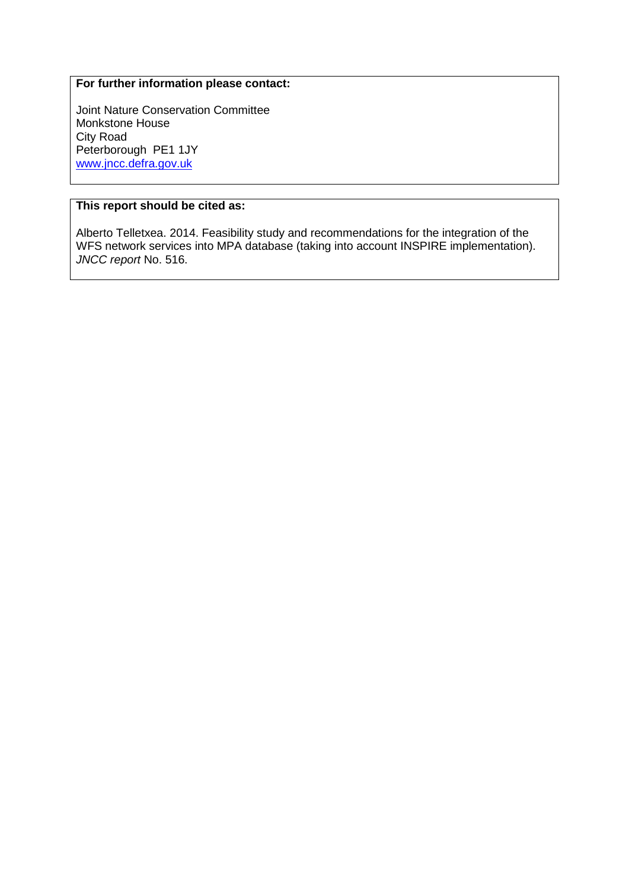#### **For further information please contact:**

Joint Nature Conservation Committee Monkstone House City Road Peterborough PE1 1JY [www.jncc.defra.gov.uk](http://www.jncc.defra.gov.uk/)

#### **This report should be cited as:**

Alberto Telletxea. 2014. Feasibility study and recommendations for the integration of the WFS network services into MPA database (taking into account INSPIRE implementation). *JNCC report* No. 516.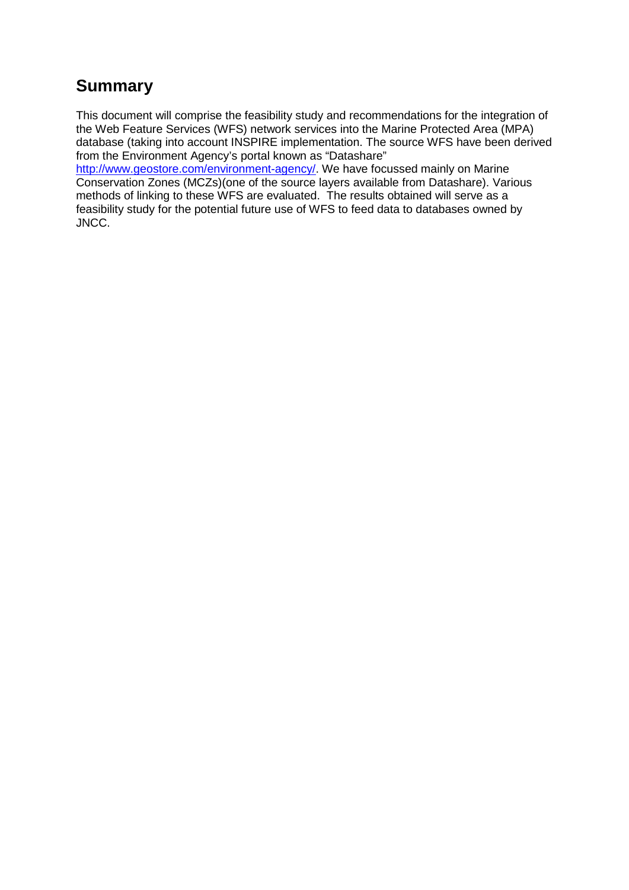# **Summary**

This document will comprise the feasibility study and recommendations for the integration of the Web Feature Services (WFS) network services into the Marine Protected Area (MPA) database (taking into account INSPIRE implementation. The source WFS have been derived from the Environment Agency's portal known as "Datashare"

[http://www.geostore.com/environment-agency/.](http://www.geostore.com/environment-agency/) We have focussed mainly on Marine Conservation Zones (MCZs)(one of the source layers available from Datashare). Various methods of linking to these WFS are evaluated. The results obtained will serve as a feasibility study for the potential future use of WFS to feed data to databases owned by JNCC.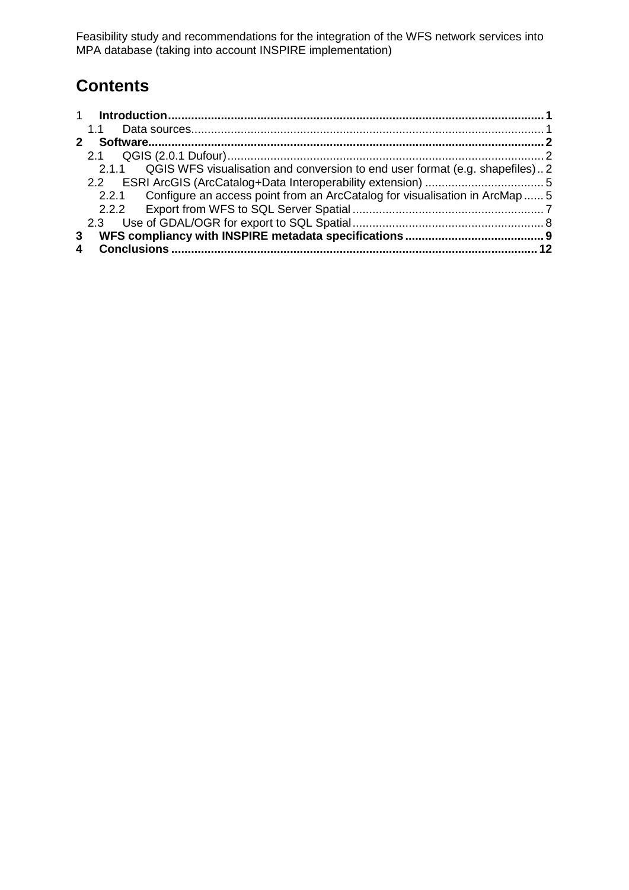# **Contents**

|             | 1.1                                                                                  |  |
|-------------|--------------------------------------------------------------------------------------|--|
| $2^{\circ}$ |                                                                                      |  |
|             |                                                                                      |  |
|             | QGIS WFS visualisation and conversion to end user format (e.g. shapefiles)2<br>2.1.1 |  |
|             |                                                                                      |  |
|             | 2.2.1 Configure an access point from an ArcCatalog for visualisation in ArcMap  5    |  |
|             |                                                                                      |  |
|             |                                                                                      |  |
| 3           |                                                                                      |  |
|             |                                                                                      |  |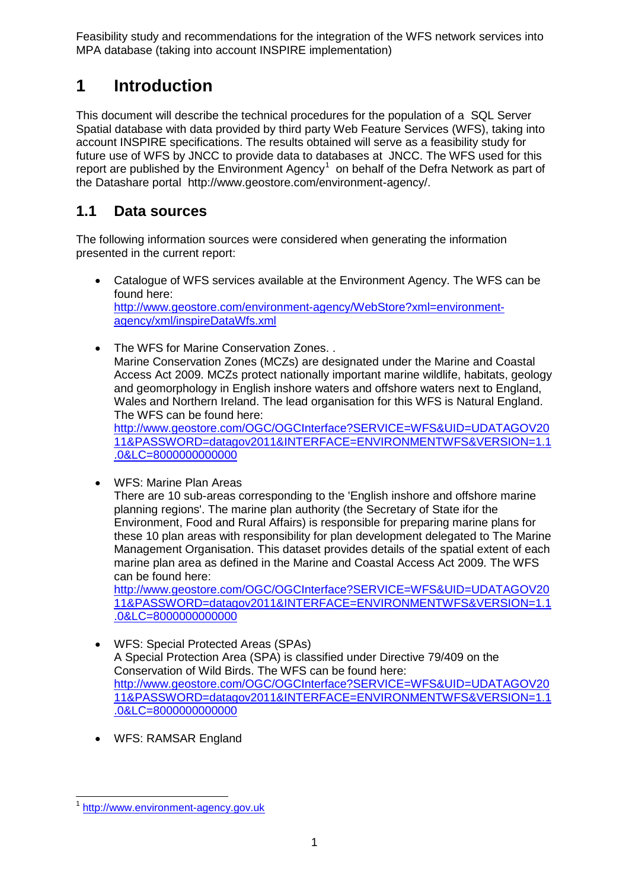## <span id="page-4-0"></span>**1 Introduction**

This document will describe the technical procedures for the population of a SQL Server Spatial database with data provided by third party Web Feature Services (WFS), taking into account INSPIRE specifications. The results obtained will serve as a feasibility study for future use of WFS by JNCC to provide data to databases at JNCC. The WFS used for this report are published by the Environment Agency<sup>[1](#page-4-2)</sup> on behalf of the Defra Network as part of the Datashare portal http://www.geostore.com/environment-agency/.

### <span id="page-4-1"></span>**1.1 Data sources**

The following information sources were considered when generating the information presented in the current report:

- Catalogue of WFS services available at the Environment Agency. The WFS can be found here: [http://www.geostore.com/environment-agency/WebStore?xml=environment](http://www.geostore.com/environment-agency/WebStore?xml=environment-agency/xml/inspireDataWfs.xml)[agency/xml/inspireDataWfs.xml](http://www.geostore.com/environment-agency/WebStore?xml=environment-agency/xml/inspireDataWfs.xml)
- The WFS for Marine Conservation Zones. . Marine Conservation Zones (MCZs) are designated under the Marine and Coastal Access Act 2009. MCZs protect nationally important marine wildlife, habitats, geology and geomorphology in English inshore waters and offshore waters next to England, Wales and Northern Ireland. The lead organisation for this WFS is Natural England. The WFS can be found here:

[http://www.geostore.com/OGC/OGCInterface?SERVICE=WFS&UID=UDATAGOV20](http://www.geostore.com/OGC/OGCInterface?SERVICE=WFS&UID=UDATAGOV2011&PASSWORD=datagov2011&INTERFACE=ENVIRONMENTWFS&VERSION=1.1.0&LC=8000000000000) [11&PASSWORD=datagov2011&INTERFACE=ENVIRONMENTWFS&VERSION=1.1](http://www.geostore.com/OGC/OGCInterface?SERVICE=WFS&UID=UDATAGOV2011&PASSWORD=datagov2011&INTERFACE=ENVIRONMENTWFS&VERSION=1.1.0&LC=8000000000000) [.0&LC=8000000000000](http://www.geostore.com/OGC/OGCInterface?SERVICE=WFS&UID=UDATAGOV2011&PASSWORD=datagov2011&INTERFACE=ENVIRONMENTWFS&VERSION=1.1.0&LC=8000000000000)

• WFS: Marine Plan Areas

There are 10 sub-areas corresponding to the 'English inshore and offshore marine planning regions'. The marine plan authority (the Secretary of State ifor the Environment, Food and Rural Affairs) is responsible for preparing marine plans for these 10 plan areas with responsibility for plan development delegated to The Marine Management Organisation. This dataset provides details of the spatial extent of each marine plan area as defined in the Marine and Coastal Access Act 2009. The WFS can be found here:

[http://www.geostore.com/OGC/OGCInterface?SERVICE=WFS&UID=UDATAGOV20](http://www.geostore.com/OGC/OGCInterface?SERVICE=WFS&UID=UDATAGOV2011&PASSWORD=datagov2011&INTERFACE=ENVIRONMENTWFS&VERSION=1.1.0&LC=8000000000000) [11&PASSWORD=datagov2011&INTERFACE=ENVIRONMENTWFS&VERSION=1.1](http://www.geostore.com/OGC/OGCInterface?SERVICE=WFS&UID=UDATAGOV2011&PASSWORD=datagov2011&INTERFACE=ENVIRONMENTWFS&VERSION=1.1.0&LC=8000000000000) [.0&LC=8000000000000](http://www.geostore.com/OGC/OGCInterface?SERVICE=WFS&UID=UDATAGOV2011&PASSWORD=datagov2011&INTERFACE=ENVIRONMENTWFS&VERSION=1.1.0&LC=8000000000000)

- WFS: Special Protected Areas (SPAs) A Special Protection Area (SPA) is classified under Directive 79/409 on the Conservation of Wild Birds. The WFS can be found here: [http://www.geostore.com/OGC/OGCInterface?SERVICE=WFS&UID=UDATAGOV20](http://www.geostore.com/OGC/OGCInterface?SERVICE=WFS&UID=UDATAGOV2011&PASSWORD=datagov2011&INTERFACE=ENVIRONMENTWFS&VERSION=1.1.0&LC=8000000000000) [11&PASSWORD=datagov2011&INTERFACE=ENVIRONMENTWFS&VERSION=1.1](http://www.geostore.com/OGC/OGCInterface?SERVICE=WFS&UID=UDATAGOV2011&PASSWORD=datagov2011&INTERFACE=ENVIRONMENTWFS&VERSION=1.1.0&LC=8000000000000) [.0&LC=8000000000000](http://www.geostore.com/OGC/OGCInterface?SERVICE=WFS&UID=UDATAGOV2011&PASSWORD=datagov2011&INTERFACE=ENVIRONMENTWFS&VERSION=1.1.0&LC=8000000000000)
- WFS: RAMSAR England

<span id="page-4-2"></span>[http://www.environment-agency.gov.uk](http://www.environment-agency.gov.uk/)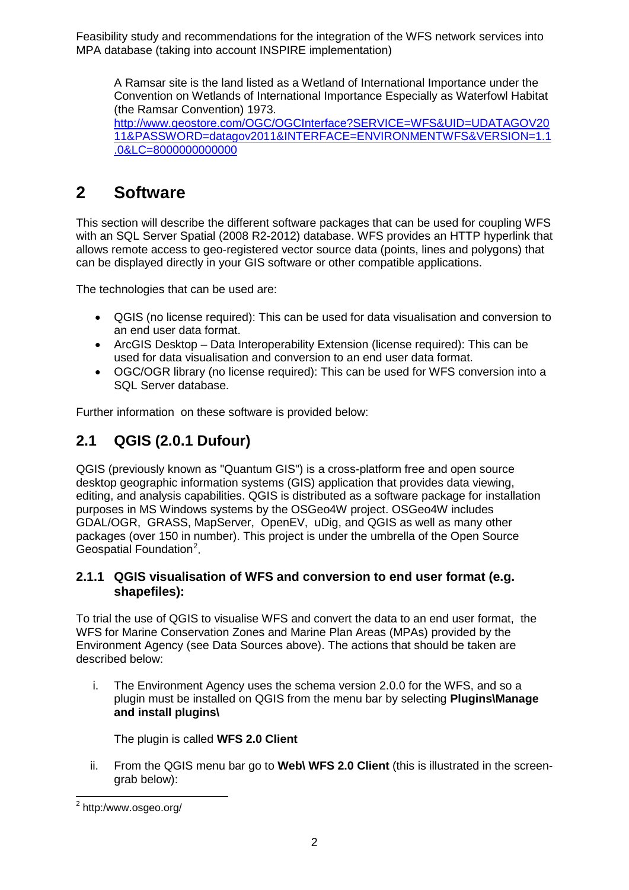A Ramsar site is the land listed as a Wetland of International Importance under the Convention on Wetlands of International Importance Especially as Waterfowl Habitat (the Ramsar Convention) 1973. [http://www.geostore.com/OGC/OGCInterface?SERVICE=WFS&UID=UDATAGOV20](http://www.geostore.com/OGC/OGCInterface?SERVICE=WFS&UID=UDATAGOV2011&PASSWORD=datagov2011&INTERFACE=ENVIRONMENTWFS&VERSION=1.1.0&LC=8000000000000) [11&PASSWORD=datagov2011&INTERFACE=ENVIRONMENTWFS&VERSION=1.1](http://www.geostore.com/OGC/OGCInterface?SERVICE=WFS&UID=UDATAGOV2011&PASSWORD=datagov2011&INTERFACE=ENVIRONMENTWFS&VERSION=1.1.0&LC=8000000000000) [.0&LC=8000000000000](http://www.geostore.com/OGC/OGCInterface?SERVICE=WFS&UID=UDATAGOV2011&PASSWORD=datagov2011&INTERFACE=ENVIRONMENTWFS&VERSION=1.1.0&LC=8000000000000)

## <span id="page-5-0"></span>**2 Software**

This section will describe the different software packages that can be used for coupling WFS with an SQL Server Spatial (2008 R2-2012) database. WFS provides an HTTP hyperlink that allows remote access to geo-registered vector source data (points, lines and polygons) that can be displayed directly in your GIS software or other compatible applications.

The technologies that can be used are:

- QGIS (no license required): This can be used for data visualisation and conversion to an end user data format.
- ArcGIS Desktop Data Interoperability Extension (license required): This can be used for data visualisation and conversion to an end user data format.
- OGC/OGR library (no license required): This can be used for WFS conversion into a SQL Server database.

Further information on these software is provided below:

### <span id="page-5-1"></span>**2.1 QGIS (2.0.1 Dufour)**

QGIS (previously known as "Quantum GIS") is a cross-platform free and open source desktop geographic information systems (GIS) application that provides data viewing, editing, and analysis capabilities. QGIS is distributed as a software package for installation purposes in MS Windows systems by the OSGeo4W project. OSGeo4W includes GDAL/OGR, GRASS, MapServer, OpenEV, uDig, and QGIS as well as many other packages (over 150 in number). This project is under the umbrella of the Open Source Geospatial Foundation<sup>[2](#page-5-3)</sup>.

#### <span id="page-5-2"></span>**2.1.1 QGIS visualisation of WFS and conversion to end user format (e.g. shapefiles):**

To trial the use of QGIS to visualise WFS and convert the data to an end user format, the WFS for Marine Conservation Zones and Marine Plan Areas (MPAs) provided by the Environment Agency (see Data Sources above). The actions that should be taken are described below:

i. The Environment Agency uses the schema version 2.0.0 for the WFS, and so a plugin must be installed on QGIS from the menu bar by selecting **Plugins\Manage and install plugins\**

The plugin is called **WFS 2.0 Client**

ii. From the QGIS menu bar go to **Web\ WFS 2.0 Client** (this is illustrated in the screengrab below):

<span id="page-5-3"></span> <sup>2</sup> http:/www.osgeo.org/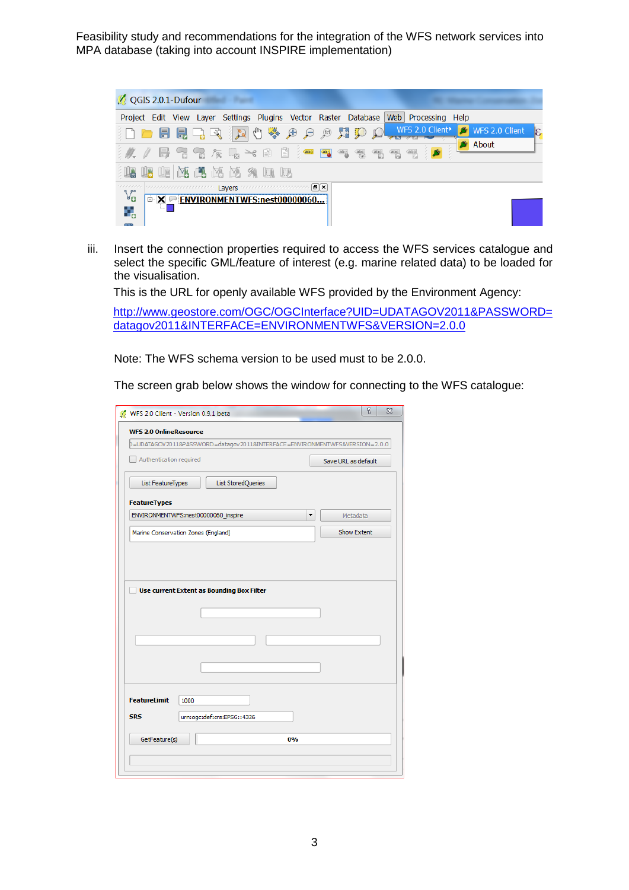

iii. Insert the connection properties required to access the WFS services catalogue and select the specific GML/feature of interest (e.g. marine related data) to be loaded for the visualisation.

This is the URL for openly available WFS provided by the Environment Agency:

[http://www.geostore.com/OGC/OGCInterface?UID=UDATAGOV2011&PASSWORD=](http://www.geostore.com/OGC/OGCInterface?UID=UDATAGOV2011&PASSWORD=datagov2011&INTERFACE=ENVIRONMENTWFS&VERSION=2.0.0) [datagov2011&INTERFACE=ENVIRONMENTWFS&VERSION=2.0.0](http://www.geostore.com/OGC/OGCInterface?UID=UDATAGOV2011&PASSWORD=datagov2011&INTERFACE=ENVIRONMENTWFS&VERSION=2.0.0)

Note: The WFS schema version to be used must to be 2.0.0.

The screen grab below shows the window for connecting to the WFS catalogue:

| WFS 2.0 Client - Version 0.9.1 beta                                        | P<br>$\Sigma$       |
|----------------------------------------------------------------------------|---------------------|
| <b>WFS 2.0 OnlineResource</b>                                              |                     |
| 0=UDATAGOV2011&PASSWORD=datagov2011&INTERFACE=ENVIRONMENTWFS&VERSION=2.0.0 |                     |
| Authentication required                                                    | Save URL as default |
| List FeatureTypes<br><b>List StoredQueries</b>                             |                     |
| <b>FeatureTypes</b>                                                        |                     |
| ENVIRONMENTWFS:nest00000060_inspire<br>▼                                   | Metadata            |
| Marine Conservation Zones (England)                                        | Show Extent         |
|                                                                            |                     |
| <b>FeatureLimit</b><br>1000                                                |                     |
| <b>SRS</b><br>urn:ogc:def:crs:EPSG::4326                                   |                     |
| GetFeature(s)<br>0%                                                        |                     |
|                                                                            |                     |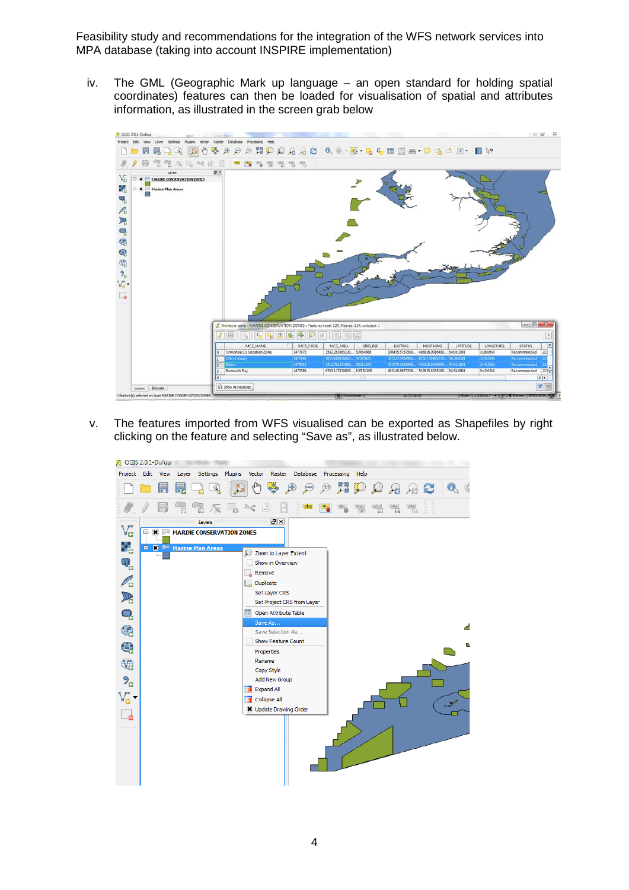iv. The GML (Geographic Mark up language – an open standard for holding spatial coordinates) features can then be loaded for visualisation of spatial and attributes information, as illustrated in the screen grab below



v. The features imported from WFS visualised can be exported as Shapefiles by right clicking on the feature and selecting "Save as", as illustrated below.

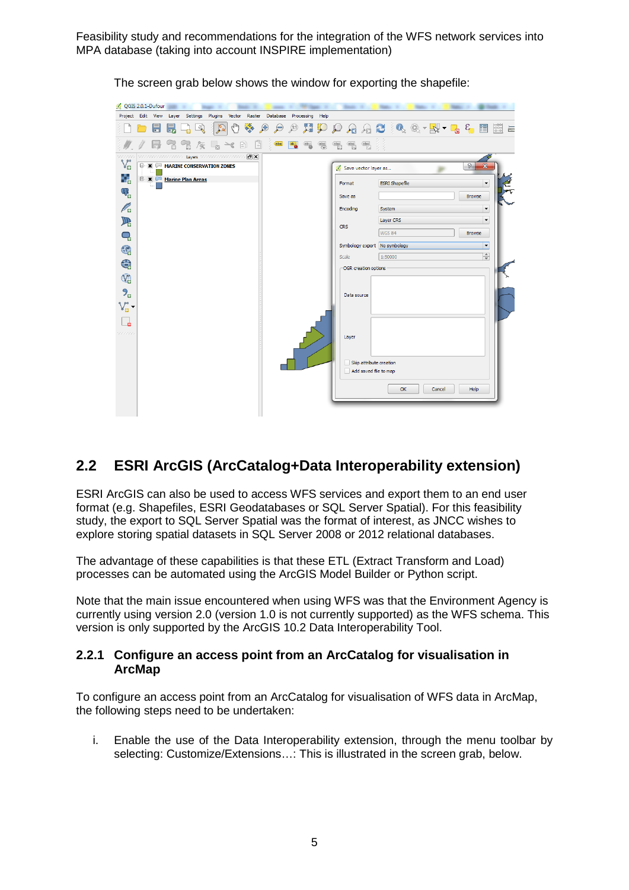| QGIS 2.0.1-Dufour         |   |           |                                                                      | <b>State</b> |                                                         |              |             | <b>STATE</b>  |                                                                                 | <b>STORY OF</b> |                                    | <b>State of</b>               | <b>STATE</b> | . .                   | <b>The Contract</b> |        | <b>State</b> |               |                      |                  |
|---------------------------|---|-----------|----------------------------------------------------------------------|--------------|---------------------------------------------------------|--------------|-------------|---------------|---------------------------------------------------------------------------------|-----------------|------------------------------------|-------------------------------|--------------|-----------------------|---------------------|--------|--------------|---------------|----------------------|------------------|
|                           |   |           |                                                                      |              |                                                         |              |             |               | Project Edit View Layer Settings Plugins Vector Raster Database Processing Help |                 |                                    |                               |              |                       |                     |        |              |               |                      |                  |
|                           | H | 艮         | श्री                                                                 |              | $l_{\rm lph}$<br>$P_{\alpha}$                           | 传导           | $\bigoplus$ | $\mathcal{P}$ | $\sqrt{11}$                                                                     |                 |                                    | <b>NPPAACA&amp;-N-46668</b>   |              |                       |                     |        |              |               |                      | $\frac{1}{1000}$ |
|                           |   | $\approx$ |                                                                      |              | $\mathbb{R} \times \mathbb{R} \to \mathbb{R}$           | $\mathbb{E}$ |             | abc           | <b>abg</b><br>$\overline{\text{ab}_{\underline{\textbf{0}}}}$                   | $rac{abc}{(a)}$ | $\frac{abc}{a}$<br>$\frac{abc}{b}$ | $\sqrt{abc}$                  |              |                       |                     |        |              |               |                      |                  |
| oocos<br>$V_{\mathbf{G}}$ |   |           |                                                                      |              | technological controls Layers concentration controls 图区 |              |             |               |                                                                                 |                 |                                    |                               |              |                       |                     |        |              |               |                      |                  |
| q,                        |   |           | <b>E-X MARINE CONSERVATION ZONES</b><br><b>E-X Marine Plan Areas</b> |              |                                                         |              |             |               |                                                                                 |                 |                                    | Save vector layer as          |              |                       |                     |        |              | ?             | x                    |                  |
|                           |   |           |                                                                      |              |                                                         |              |             |               |                                                                                 |                 | Format                             |                               |              | <b>ESRI Shapefile</b> |                     |        |              |               | $\blacktriangledown$ |                  |
| $\mathbb{Q}_{\text{c}}$   |   |           |                                                                      |              |                                                         |              |             |               |                                                                                 |                 | Save as                            |                               |              |                       |                     |        |              | <b>Browse</b> |                      |                  |
| $\mathscr{O}_\mathbf{G}$  |   |           |                                                                      |              |                                                         |              |             |               |                                                                                 |                 | Encoding                           |                               | System       |                       |                     |        |              |               | $\blacktriangledown$ |                  |
| $\mathbb{R}$              |   |           |                                                                      |              |                                                         |              |             |               |                                                                                 |                 | <b>CRS</b>                         |                               |              | Layer CRS             |                     |        |              |               | $\blacktriangledown$ |                  |
| Q                         |   |           |                                                                      |              |                                                         |              |             |               |                                                                                 |                 |                                    |                               |              | <b>WGS 84</b>         |                     |        |              | <b>Browse</b> |                      |                  |
| 6                         |   |           |                                                                      |              |                                                         |              |             |               |                                                                                 |                 |                                    | Symbology export No symbology |              |                       |                     |        |              |               | $\blacktriangledown$ |                  |
|                           |   |           |                                                                      |              |                                                         |              |             |               |                                                                                 |                 | Scale                              |                               |              | 1:50000               |                     |        |              |               | $\frac{1}{\sqrt{2}}$ |                  |
| $\bigoplus$               |   |           |                                                                      |              |                                                         |              |             |               |                                                                                 |                 |                                    | OGR creation options          |              |                       |                     |        |              |               |                      |                  |
| $\mathbb{Q}$              |   |           |                                                                      |              |                                                         |              |             |               |                                                                                 |                 |                                    |                               |              |                       |                     |        |              |               |                      |                  |
| $9_{\text{o}}$            |   |           |                                                                      |              |                                                         |              |             |               |                                                                                 |                 |                                    | Data source                   |              |                       |                     |        |              |               |                      |                  |
| $V_{\mathbf{B}}$          |   |           |                                                                      |              |                                                         |              |             |               |                                                                                 |                 |                                    |                               |              |                       |                     |        |              |               |                      |                  |
|                           |   |           |                                                                      |              |                                                         |              |             |               |                                                                                 |                 |                                    |                               |              |                       |                     |        |              |               |                      |                  |
| é<br>saasaas              |   |           |                                                                      |              |                                                         |              |             |               |                                                                                 |                 |                                    |                               |              |                       |                     |        |              |               |                      |                  |
|                           |   |           |                                                                      |              |                                                         |              |             |               |                                                                                 |                 | Layer                              |                               |              |                       |                     |        |              |               |                      |                  |
|                           |   |           |                                                                      |              |                                                         |              |             |               |                                                                                 |                 |                                    |                               |              |                       |                     |        |              |               |                      |                  |
|                           |   |           |                                                                      |              |                                                         |              |             |               |                                                                                 |                 |                                    | Skip attribute creation       |              |                       |                     |        |              |               |                      |                  |
|                           |   |           |                                                                      |              |                                                         |              |             |               |                                                                                 |                 |                                    | Add saved file to map         |              |                       |                     |        |              |               |                      |                  |
|                           |   |           |                                                                      |              |                                                         |              |             |               |                                                                                 |                 |                                    |                               |              | OK                    |                     | Cancel |              | Help          |                      |                  |
|                           |   |           |                                                                      |              |                                                         |              |             |               |                                                                                 |                 |                                    |                               |              |                       |                     |        |              |               |                      |                  |
|                           |   |           |                                                                      |              |                                                         |              |             |               |                                                                                 |                 |                                    |                               |              |                       |                     |        |              |               |                      |                  |

The screen grab below shows the window for exporting the shapefile:

### <span id="page-8-0"></span>**2.2 ESRI ArcGIS (ArcCatalog+Data Interoperability extension)**

ESRI ArcGIS can also be used to access WFS services and export them to an end user format (e.g. Shapefiles, ESRI Geodatabases or SQL Server Spatial). For this feasibility study, the export to SQL Server Spatial was the format of interest, as JNCC wishes to explore storing spatial datasets in SQL Server 2008 or 2012 relational databases.

The advantage of these capabilities is that these ETL (Extract Transform and Load) processes can be automated using the ArcGIS Model Builder or Python script.

Note that the main issue encountered when using WFS was that the Environment Agency is currently using version 2.0 (version 1.0 is not currently supported) as the WFS schema. This version is only supported by the ArcGIS 10.2 Data Interoperability Tool.

#### <span id="page-8-1"></span>**2.2.1 Configure an access point from an ArcCatalog for visualisation in ArcMap**

To configure an access point from an ArcCatalog for visualisation of WFS data in ArcMap, the following steps need to be undertaken:

i. Enable the use of the Data Interoperability extension, through the menu toolbar by selecting: Customize/Extensions…: This is illustrated in the screen grab, below.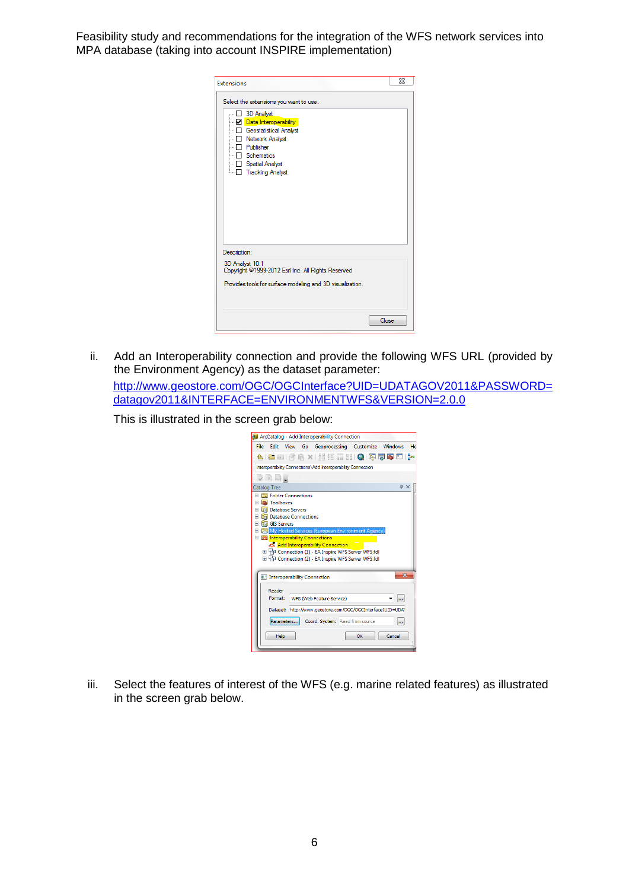| Extensions                                                                                                                                                                                                          |       | Σζ |
|---------------------------------------------------------------------------------------------------------------------------------------------------------------------------------------------------------------------|-------|----|
| Select the extensions you want to use.<br>3D Analyst<br><b>Data Interoperability</b><br>--- Geostatistical Analyst<br>Network Analyst<br>Publisher<br>Schematics<br>---- Spatial Analyst<br><b>Tracking Analyst</b> |       |    |
| Description:<br>3D Analyst 10.1<br>Copyright ©1999-2012 Esri Inc. All Rights Reserved                                                                                                                               |       |    |
| Provides tools for surface modeling and 3D visualization.                                                                                                                                                           |       |    |
|                                                                                                                                                                                                                     | Close |    |

ii. Add an Interoperability connection and provide the following WFS URL (provided by the Environment Agency) as the dataset parameter:

[http://www.geostore.com/OGC/OGCInterface?UID=UDATAGOV2011&PASSWORD=](http://www.geostore.com/OGC/OGCInterface?UID=UDATAGOV2011&PASSWORD=datagov2011&INTERFACE=ENVIRONMENTWFS) [datagov2011&INTERFACE=ENVIRONMENTWFS&VERSION=2.0.0](http://www.geostore.com/OGC/OGCInterface?UID=UDATAGOV2011&PASSWORD=datagov2011&INTERFACE=ENVIRONMENTWFS)

This is illustrated in the screen grab below:

| ArcCatalog - Add Interoperability Connection                                                                                                                                                                                                                                                                                                                                                     |                         |
|--------------------------------------------------------------------------------------------------------------------------------------------------------------------------------------------------------------------------------------------------------------------------------------------------------------------------------------------------------------------------------------------------|-------------------------|
| Edit View Go Geoprocessing Customize Windows<br>File                                                                                                                                                                                                                                                                                                                                             | He                      |
| :4   2 2   6   6 X   8   6   6   6   6   5   5   7   7                                                                                                                                                                                                                                                                                                                                           |                         |
| Interoperability Connections \Add Interoperability Connection                                                                                                                                                                                                                                                                                                                                    |                         |
| ija bij                                                                                                                                                                                                                                                                                                                                                                                          |                         |
| <b>Catalog Tree</b>                                                                                                                                                                                                                                                                                                                                                                              | $4 \times$              |
| <b>ED</b> Folder Connections<br>Toolboxes<br>Ŧ<br><b>Database Servers</b><br>⊞<br>Database Connections<br>Ŧ<br><b>HTT</b> GIS Servers<br>Œ<br>My Hosted Services (European Environment Agency)<br>⊞<br><b>E as Interoperability Connections</b><br>Add Interoperability Connection<br>E TO Connection (1) - EA Inspire WFS Server WFS.fdl<br>E TD Connection (2) - EA Inspire WFS Server WFS.fdl |                         |
| <b>II.</b> Interoperability Connection                                                                                                                                                                                                                                                                                                                                                           | $\overline{\mathbf{x}}$ |
| Reader<br>Format:<br>WFS (Web Feature Service)<br>Dataset: http://www.geostore.com/OGC/OGCInterface?UID=UDAT<br>Parameters<br>Coord. System: Read from source<br>Help<br>OK                                                                                                                                                                                                                      | <br><br>Cancel          |

iii. Select the features of interest of the WFS (e.g. marine related features) as illustrated in the screen grab below.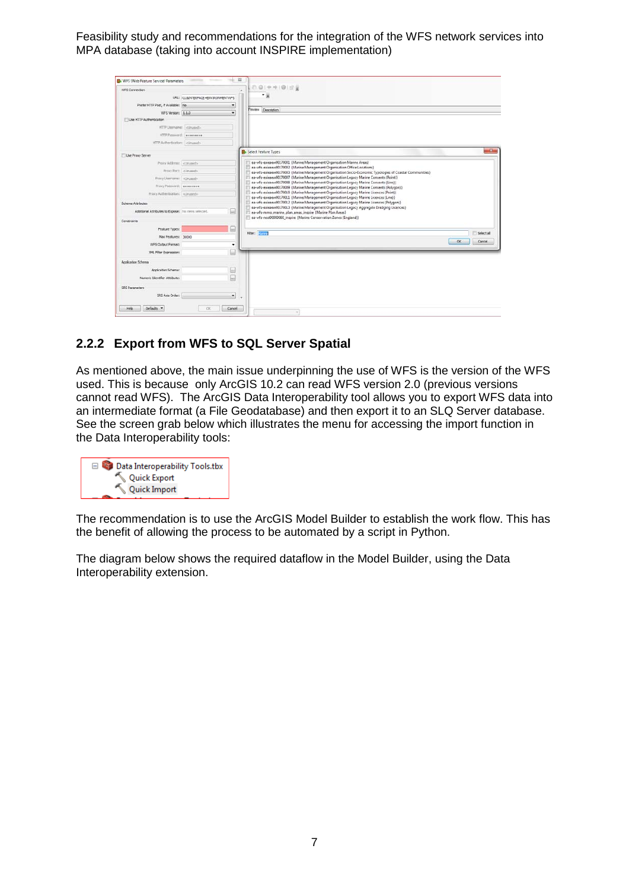| WFS Connection                                        |                                    | ٠                       | 20 中中国日長                                                                                                                                                                             |                     |
|-------------------------------------------------------|------------------------------------|-------------------------|--------------------------------------------------------------------------------------------------------------------------------------------------------------------------------------|---------------------|
|                                                       | URL: )115DVTERFACE «ENVIRONMENTWPS |                         | - 8                                                                                                                                                                                  |                     |
| Prefer HTTP Post, if Available: [No                   |                                    | ۰                       |                                                                                                                                                                                      |                     |
| WFS Version: 1.1.0                                    |                                    |                         | Preview Description                                                                                                                                                                  |                     |
| Use HTTP Authentication                               |                                    |                         |                                                                                                                                                                                      |                     |
| HTTP Username: cliniged>                              |                                    |                         |                                                                                                                                                                                      |                     |
| HTTP Password:   passesses                            |                                    |                         |                                                                                                                                                                                      |                     |
| HTTP Authentication: [ cLinused >                     |                                    |                         |                                                                                                                                                                                      |                     |
| Use Proxy Server                                      |                                    |                         | Select Feature Types                                                                                                                                                                 | $-8-$               |
| Proxy Address: clinuted>                              |                                    |                         | ea-wfs-ealeaew00170001 (Marine Management Organisation Marine Areas)                                                                                                                 |                     |
|                                                       |                                    |                         | ea-wfs-ealeaew00170002 (Marine Management Organisation Office Locations)<br>ea-wfs-ealeaew00170003 (Marine Management Organisation Socio-Economic Typologies of Coastal Communities) |                     |
| Proxy Usemane:   <linused></linused>                  |                                    |                         | ea-wfs-ealeaew00170007 (Marine Management Organisation Legacy Marine Consents (Point))                                                                                               |                     |
| Proxy Pattword:   ********                            |                                    |                         | ea-wfs-ealeaew00170008 [Marine Management Organisation Legacy Marine Consents (Line)]<br>ea-wfs-ealeaew00170009 (Marine Management Organisation Legacy Marine Consents (Polygon))    |                     |
| Proxy Authentication:<br>                             |                                    |                         | ea-wfs-ealeaew00170010 (Marine Management Organisation Legacy Marine Licences (Point))                                                                                               |                     |
| <b>Schema Attributes</b>                              |                                    |                         | co-wfs-caleaew00170011 [Marine Management Organisation Legacy Marine Licences (Line)]<br>ea-wfs-ealesew00170012 (Marine Management Organisation Legacy Marine Licences (Polygon))    |                     |
| Additional Attributes to Expose: Till items selected. |                                    | $\left   \right $       | ea-wfs-ealesew00170013 (Marine Management Organisation Legacy Aggregate Dredging Licences)<br>ea-wfs-mmo_marine_plan_areas_inspire (Marine Plan Areas)                               |                     |
| Constraints                                           |                                    |                         | ea-wfs-nest00000060_inspire {Marine Conservation Zones (England)}                                                                                                                    |                     |
| Feature Types:                                        |                                    | $\boxed{\ldots}$        |                                                                                                                                                                                      |                     |
| Max Features: 30000                                   |                                    |                         | <b>Fiber: Donne</b>                                                                                                                                                                  | <b>El Select al</b> |
| WFS Output Format:                                    |                                    | ۰                       | OK.                                                                                                                                                                                  | Cancel              |
| XML Filter Expression:                                |                                    | (iii)                   |                                                                                                                                                                                      |                     |
| Application Schema                                    |                                    |                         |                                                                                                                                                                                      |                     |
| Application Schema:                                   |                                    | (see)                   |                                                                                                                                                                                      |                     |
| Numeric Identifier Attribute:                         |                                    | 囗                       |                                                                                                                                                                                      |                     |
| SRS Parameters                                        |                                    |                         |                                                                                                                                                                                      |                     |
| SRS Axis Order:                                       |                                    | $\pmb{\mathrm{v}}$<br>٠ |                                                                                                                                                                                      |                     |
|                                                       |                                    |                         |                                                                                                                                                                                      |                     |
| Defaults -<br>Help                                    | $\alpha$                           | Cancel                  | $\sim$                                                                                                                                                                               |                     |

#### <span id="page-10-0"></span>**2.2.2 Export from WFS to SQL Server Spatial**

As mentioned above, the main issue underpinning the use of WFS is the version of the WFS used. This is because only ArcGIS 10.2 can read WFS version 2.0 (previous versions cannot read WFS). The ArcGIS Data Interoperability tool allows you to export WFS data into an intermediate format (a File Geodatabase) and then export it to an SLQ Server database. See the screen grab below which illustrates the menu for accessing the import function in the Data Interoperability tools:

| □ <b>■ Data Interoperability Tools.tbx</b> |
|--------------------------------------------|
| Quick Export                               |
| Quick Import                               |
|                                            |

The recommendation is to use the ArcGIS Model Builder to establish the work flow. This has the benefit of allowing the process to be automated by a script in Python.

The diagram below shows the required dataflow in the Model Builder, using the Data Interoperability extension.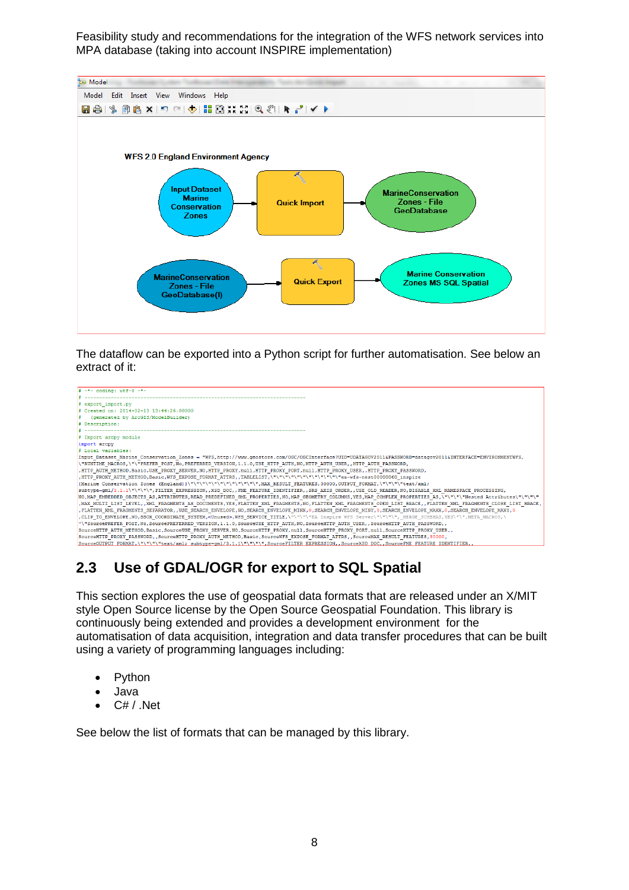

The dataflow can be exported into a Python script for further automatisation. See below an extract of it:

| $\frac{1}{2}$ -*- coding: utf-8 -*-                                                                                                                                                                                            |
|--------------------------------------------------------------------------------------------------------------------------------------------------------------------------------------------------------------------------------|
|                                                                                                                                                                                                                                |
| # export import.py                                                                                                                                                                                                             |
| # Created on: 2014-02-13 13:44:26.00000                                                                                                                                                                                        |
| (generated by ArcGIS/ModelBuilder)                                                                                                                                                                                             |
| # Description:                                                                                                                                                                                                                 |
|                                                                                                                                                                                                                                |
| # Import arcpy module                                                                                                                                                                                                          |
| import arcpy                                                                                                                                                                                                                   |
| # Local variables:                                                                                                                                                                                                             |
| Input_Dataset_Marine_Conservation_Zones = "WFS,http://www.geostore.com/OGC/OGCInterface?UID=UDATAGOV2011&PASSWORD=datagov2011&INTERFACE=ENVIRONMENTWFS,                                                                        |
| \'RUNTIME_MACROS,\"\"PREFER_POST, No, PREFERRED_VERSION, 1.1.0, USE_HTTP_AUTH, NO, HTTP_AUTH_USER,, HTTP_AUTH_PASSWORD,                                                                                                        |
| , HTTP AUTH METHOD, Basic, USE PROXY SERVER, NO, HTTP PROXY, null, HTTP PROXY PORT, null, HTTP PROXY USER, , HTTP PROXY PASSWORD,                                                                                              |
| .HTTP_PROXY_AUTH_METHOD,Basic,WFS_EXPOSE_FORMAT_ATTRS,,TABLELIST,\"\"\"\"\"\"\"\"\"\"\"\"\"\"ea-wfs-nest00000060_inspire                                                                                                       |
| {Marine Conservation Zones (England)}\"\"\"\"\"\"\"\"\"\"\"\"\",MAX_RESULT_FEATURES,30000,OUTPUT_FORMAT,\"\"\"\"text/xml;                                                                                                      |
| subtype=gml/3.1.1\"\"\"\",FILTER EXPRESSION,,XSD DOC,,FME FEATURE IDENTIFIER,,SRS AXIS ORDER,,USE OLD READER,NO,DISABLE XML NAMESPACE PROCESSING,                                                                              |
| NO, MAP EMBEDDED OBJECTS AS, ATTRIBUTES, READ PREDEFINED GML PROPERTIES, NO, MAP GEOMETRY COLUMNS, YES, MAP COMPLEX PROPERTIES AS, \"\"\"\"Nested Attributes\"\"\"\"                                                           |
| , MAX_MULTI_LIST_LEVEL,, XML_FRAGMENTS_AS_DOCUMENTS, YES, FLATTEN_XML_FRAGMENTS, NO, FLATTEN_XML_FRAGMENTS_OPEN_LIST_BRACE,, FLATTEN_XML_FRAGMENTS_CLOSE_LIST_BRACE,                                                           |
| FLATTEN XML FRAGMENTS_SEPARATOR, USE_SEARCH_ENVELOPE, NO, SEARCH_ENVELOPE_MINX, 0, SEARCH_ENVELOPE_MAXX, 0, SEARCH_ENVELOPE_MAXX, 0, SEARCH_ENVELOPE_MAXX, 0, SEARCH_ENVELOPE_MAXX, 0, SEARCH_ENVELOPE_MAXX, 0, SEARCH_ENVELOP |
| CLIP TO ENVELOPE, NO, BBOX COORDINATE SYSTEM, <unused>, WFS SERVICE TITLE,\"\"\"\"EA Inspire WFS Server\"\"\"\", MERGE SCHEMAS, YES\"\", META MACROS, \</unused>                                                               |
| , SourcePREFER_POST, No, SourcePREFERRED_VERSION, 1.1.0, SourceUSE_HTTP_AUTH, NO, SourceHTTP_AUTH_USER, , SourceHTTP_AUTH_PASSWORD,                                                                                            |
| SOUrceHTTP_AUTH_METHOD,Basic,SourceUSE_PROXY_SERVER,NO,SourceHTTP_PROXY,null,SourceHTTP_PROXY_PORT,null,SourceHTTP_PROXY_USER,,                                                                                                |
| SourceHTTP PROXY PASSWORD, SourceHTTP PROXY AUTH METHOD, Basic, SourceWFS EXPOSE FORMAT ATTRS, , SourceMAX RESULT FEATURES, 30000,                                                                                             |
| SourceOUTPUT FORMAT,\"\"\"\"text/xml; subtype=gml/3.1.1\"\"\"\",SourceFILTER EXPRESSION,,SourceXSD DOC,,SourceFME FEATURE IDENTIFIER,                                                                                          |

### <span id="page-11-0"></span>**2.3 Use of GDAL/OGR for export to SQL Spatial**

This section explores the use of geospatial data formats that are released under an X/MIT style Open Source license by the Open Source Geospatial Foundation. This library is continuously being extended and provides a development environment for the automatisation of data acquisition, integration and data transfer procedures that can be built using a variety of programming languages including:

- Python
- Java
- $\bullet$   $C# / N$ et

See below the list of formats that can be managed by this library.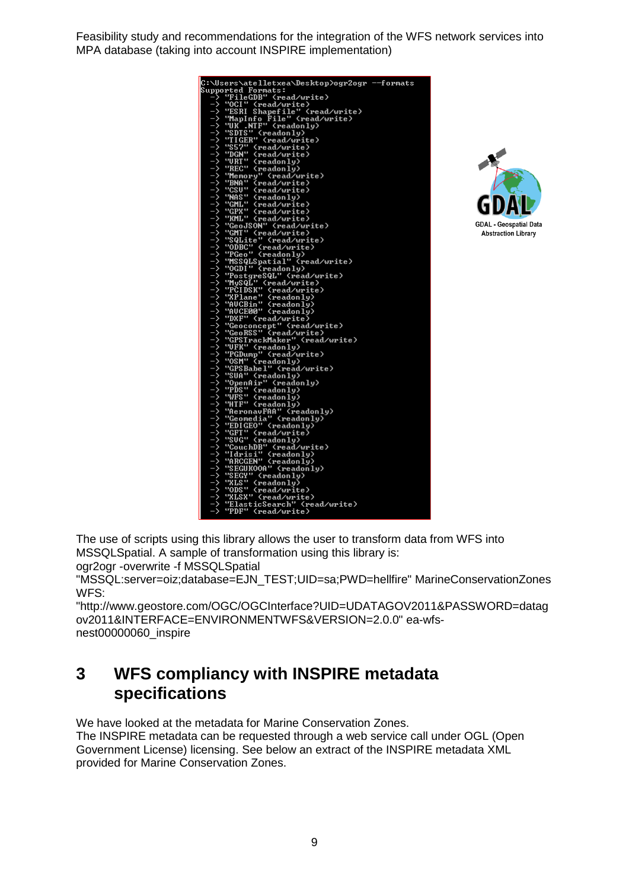| C:\Users\atelletxea\Desktop>ogr2ogr --formats                                                                                                                                                                                |
|------------------------------------------------------------------------------------------------------------------------------------------------------------------------------------------------------------------------------|
| Supported Formats:                                                                                                                                                                                                           |
| "FileGDB" (read/write)                                                                                                                                                                                                       |
| ⋽<br>"OCI" (read/write)                                                                                                                                                                                                      |
| Shapefile" (read/write)                                                                                                                                                                                                      |
|                                                                                                                                                                                                                              |
|                                                                                                                                                                                                                              |
|                                                                                                                                                                                                                              |
|                                                                                                                                                                                                                              |
|                                                                                                                                                                                                                              |
|                                                                                                                                                                                                                              |
|                                                                                                                                                                                                                              |
|                                                                                                                                                                                                                              |
|                                                                                                                                                                                                                              |
|                                                                                                                                                                                                                              |
|                                                                                                                                                                                                                              |
|                                                                                                                                                                                                                              |
|                                                                                                                                                                                                                              |
|                                                                                                                                                                                                                              |
|                                                                                                                                                                                                                              |
|                                                                                                                                                                                                                              |
|                                                                                                                                                                                                                              |
|                                                                                                                                                                                                                              |
|                                                                                                                                                                                                                              |
|                                                                                                                                                                                                                              |
|                                                                                                                                                                                                                              |
|                                                                                                                                                                                                                              |
|                                                                                                                                                                                                                              |
|                                                                                                                                                                                                                              |
|                                                                                                                                                                                                                              |
|                                                                                                                                                                                                                              |
|                                                                                                                                                                                                                              |
|                                                                                                                                                                                                                              |
|                                                                                                                                                                                                                              |
|                                                                                                                                                                                                                              |
|                                                                                                                                                                                                                              |
|                                                                                                                                                                                                                              |
|                                                                                                                                                                                                                              |
|                                                                                                                                                                                                                              |
|                                                                                                                                                                                                                              |
|                                                                                                                                                                                                                              |
|                                                                                                                                                                                                                              |
|                                                                                                                                                                                                                              |
|                                                                                                                                                                                                                              |
|                                                                                                                                                                                                                              |
|                                                                                                                                                                                                                              |
|                                                                                                                                                                                                                              |
|                                                                                                                                                                                                                              |
|                                                                                                                                                                                                                              |
|                                                                                                                                                                                                                              |
|                                                                                                                                                                                                                              |
|                                                                                                                                                                                                                              |
|                                                                                                                                                                                                                              |
|                                                                                                                                                                                                                              |
|                                                                                                                                                                                                                              |
|                                                                                                                                                                                                                              |
|                                                                                                                                                                                                                              |
|                                                                                                                                                                                                                              |
| : Users Natilitives New York (weal with the second of the constant of the Cale of the Cale of the Cale of the Cale of the Cale of the Cale of the Cale of the Cale of the Cale of the Cale of the Cale of the Cale of the Ca |



The use of scripts using this library allows the user to transform data from WFS into MSSQLSpatial. A sample of transformation using this library is: ogr2ogr -overwrite -f MSSQLSpatial

"MSSQL:server=oiz;database=EJN\_TEST;UID=sa;PWD=hellfire" MarineConservationZones WFS:

"http://www.geostore.com/OGC/OGCInterface?UID=UDATAGOV2011&PASSWORD=datag ov2011&INTERFACE=ENVIRONMENTWFS&VERSION=2.0.0" ea-wfsnest00000060\_inspire

## <span id="page-12-0"></span>**3 WFS compliancy with INSPIRE metadata specifications**

We have looked at the metadata for Marine Conservation Zones. The INSPIRE metadata can be requested through a web service call under OGL (Open

Government License) licensing. See below an extract of the INSPIRE metadata XML provided for Marine Conservation Zones.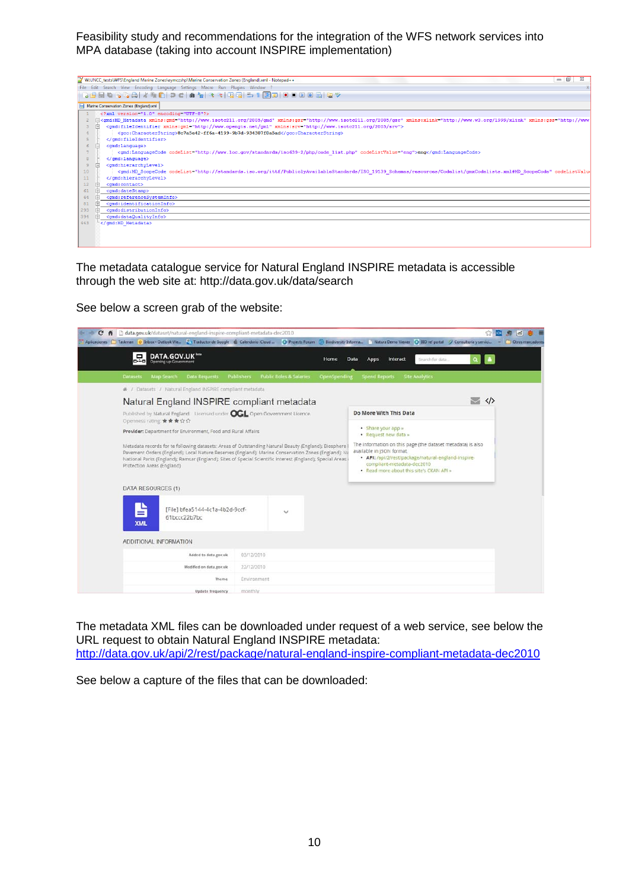| $-0$<br>W:UNCC_tests\WFS\England Marine Zones\eymczshp\Marine Conservation Zones (England).xml - Notepad++<br>ΣŜ                                                                                                                                           |
|------------------------------------------------------------------------------------------------------------------------------------------------------------------------------------------------------------------------------------------------------------|
| File Edit Search View Encoding Language Settings Macro Run Plugins Window ?                                                                                                                                                                                |
| 8856808146070688488585150000888                                                                                                                                                                                                                            |
| Marine Conservation Zones (England) xml                                                                                                                                                                                                                    |
| xml version="1.0" encoding="UTF-8"?                                                                                                                                                                                                                        |
| [ <gmd:md <="" http:="" metadata="" td="" www.isotc211.org="" xmlns:gmd="http://www.isotc211.org/2005/gmd" xmlns:gsr="http://www.isotc211.org/2005/gsr" xmlns:gss="http://www.isotc211.org/2005/gsr=" xmlns:xlink="http://www.w3.org/1999/xlink"></gmd:md> |
| <gmd:fileidentifier xmlns:gml="http://www.opengis.net/gml" xmlns:srv="http://www.isotc211.org/2005/srv"></gmd:fileidentifier>                                                                                                                              |
| <gco:characterstring>8c7a5e42-ff6a-4199-9b7d-934307f0a5ad</gco:characterstring>                                                                                                                                                                            |
|                                                                                                                                                                                                                                                            |
| <gmd:language></gmd:language>                                                                                                                                                                                                                              |
| <gmd:languagecode codelist="http://www.loc.gov/standards/iso639-2/php/code list.php" codelistvalue="eng">eng</gmd:languagecode>                                                                                                                            |
| <br>$\mathbf{R}$                                                                                                                                                                                                                                           |
| <gmd:hierarchylevel><br/><math>\mathbf{Q}</math></gmd:hierarchylevel>                                                                                                                                                                                      |
| 10 <sup>°</sup><br><gmd:md codelist="http://standards.iso.org/ittf/PubliclyAvailableStandards/ISO 19139 Schemas/resources/Codelist/gmxCodelists.xml#MD ScopeCode" codelistvalu<="" scopecode="" td=""></gmd:md>                                            |
| <br>$11$                                                                                                                                                                                                                                                   |
| 12 <sup>°</sup><br><gmd:contact></gmd:contact>                                                                                                                                                                                                             |
| 61<br><gmd:datestamp></gmd:datestamp>                                                                                                                                                                                                                      |
| <gmd:referencesvsteminfo><br/>64</gmd:referencesvsteminfo>                                                                                                                                                                                                 |
| 81<br><gmd:identificationinfo></gmd:identificationinfo>                                                                                                                                                                                                    |
| 293<br><gmd:distributioninfo></gmd:distributioninfo>                                                                                                                                                                                                       |
| 394<br><gmd:dataqualityinfo><br/><math>+</math></gmd:dataqualityinfo>                                                                                                                                                                                      |
| 443<br>                                                                                                                                                                                                                                                    |
|                                                                                                                                                                                                                                                            |
|                                                                                                                                                                                                                                                            |
|                                                                                                                                                                                                                                                            |

The metadata catalogue service for Natural England INSPIRE metadata is accessible through the web site at: http://data.gov.uk/data/search

See below a screen grab of the website:

| h data.gov.uk/dataset/natural-england-inspire-compliant-metadata-dec2010<br>c<br>$\boldsymbol{\kappa}$ |                                                                                                                                                                                                                                                                                                                                                                                                                                                                                                                                                         |  |
|--------------------------------------------------------------------------------------------------------|---------------------------------------------------------------------------------------------------------------------------------------------------------------------------------------------------------------------------------------------------------------------------------------------------------------------------------------------------------------------------------------------------------------------------------------------------------------------------------------------------------------------------------------------------------|--|
|                                                                                                        | Aplicaciones [ Taskman   O Inbox - Outlook We., [ Traductor de Google   Calendario (Cloud    C) Projects Forum ( C) Blookvessity Informa   Natura Demo Viewer   C) BD ref portal   O Consultoria y servicia. »     Obros                                                                                                                                                                                                                                                                                                                                |  |
| DATA.GOV.UK"<br>o∴ol<br><b>Opening up Government</b>                                                   | <b>Data</b><br>Search for data<br>Home<br>Apps<br>Interact                                                                                                                                                                                                                                                                                                                                                                                                                                                                                              |  |
| <b>Map Search</b><br><b>Data Requests</b><br><b>Datasets</b>                                           | <b>Public Roles &amp; Salaries</b><br>Publishers<br>OpenSpending<br><b>Spend Reports</b><br><b>Site Analytics</b>                                                                                                                                                                                                                                                                                                                                                                                                                                       |  |
| # / Datasets / Natural England INSPIRE compliant metadata                                              |                                                                                                                                                                                                                                                                                                                                                                                                                                                                                                                                                         |  |
| Natural England INSPIRE compliant metadata                                                             | $\vee$ $\leftrightarrow$                                                                                                                                                                                                                                                                                                                                                                                                                                                                                                                                |  |
| Published by Natural England. Licensed under CCL Open Government Licence.<br>Openness rating ★★★☆☆     | Do More With This Data                                                                                                                                                                                                                                                                                                                                                                                                                                                                                                                                  |  |
| Provider: Department for Environment, Food and Rural Affairs                                           | · Share your app »<br>· Request new data »                                                                                                                                                                                                                                                                                                                                                                                                                                                                                                              |  |
| Protection Areas (England)<br>DATA RESOURCES (1)                                                       | The information on this page (the dataset metadata) is also<br>Metadata records for te following datasets: Areas of Outstanding Natural Beauty (England): Biosphere<br>available in JSON format.<br>Pavement Orders (England); Local Nature Reserves (England); Marine Conservation Zones (England); Na<br>· API: /api/2/rest/package/natural-england-inspire-<br>National Parks (England); Ramsar (England); Sites of Special Scientific Interest (England); Special Areas i<br>compliant-metadata-dec2010<br>. Read more about this site's CKAN API » |  |
|                                                                                                        |                                                                                                                                                                                                                                                                                                                                                                                                                                                                                                                                                         |  |
| ₽<br>[File] bfea5144-4c1a-4b2d-9ccf-<br>61bccc22b7bc<br><b>XML</b>                                     | $\checkmark$                                                                                                                                                                                                                                                                                                                                                                                                                                                                                                                                            |  |
| ADDITIONAL INFORMATION                                                                                 |                                                                                                                                                                                                                                                                                                                                                                                                                                                                                                                                                         |  |
| Added to data gov.uk                                                                                   | 03/12/2010                                                                                                                                                                                                                                                                                                                                                                                                                                                                                                                                              |  |
| Modified on data gov.uk                                                                                | 22/12/2010                                                                                                                                                                                                                                                                                                                                                                                                                                                                                                                                              |  |
| Theme                                                                                                  | Environment                                                                                                                                                                                                                                                                                                                                                                                                                                                                                                                                             |  |
| Update frequency                                                                                       | monthly                                                                                                                                                                                                                                                                                                                                                                                                                                                                                                                                                 |  |

The metadata XML files can be downloaded under request of a web service, see below the URL request to obtain Natural England INSPIRE metadata: <http://data.gov.uk/api/2/rest/package/natural-england-inspire-compliant-metadata-dec2010>

See below a capture of the files that can be downloaded: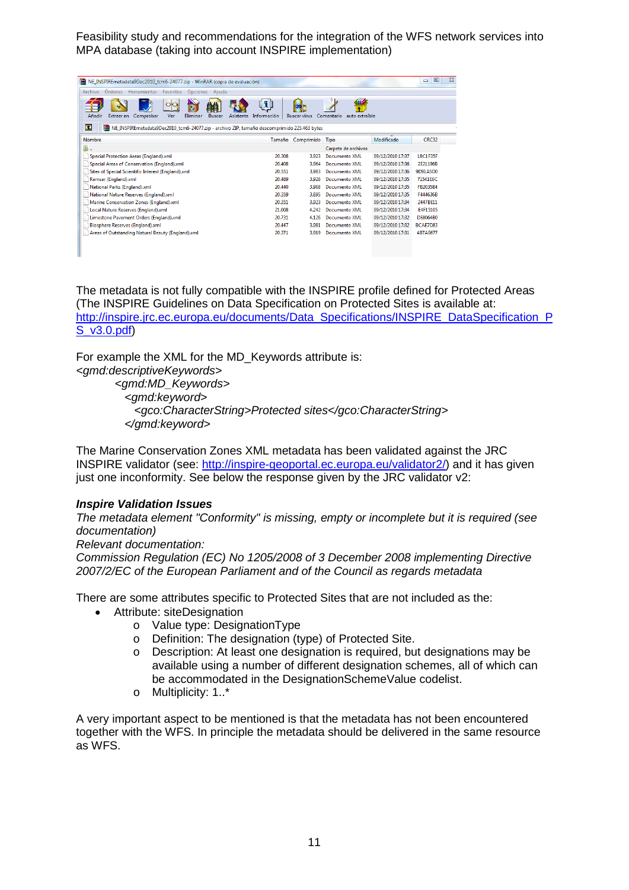| NE_INSPIREmetadata9Dec2010_tcm6-24077.zip - WinRAR (copia de evaluación)                                        |           |                       |               |           |                    |                     |                              |                  | 回<br>$\equiv$ | $\Sigma$ |
|-----------------------------------------------------------------------------------------------------------------|-----------|-----------------------|---------------|-----------|--------------------|---------------------|------------------------------|------------------|---------------|----------|
| Ordenes Herramientas<br>Archivo                                                                                 | Favoritos | <b>Opciones</b>       | Avuda         |           |                    |                     |                              |                  |               |          |
| Añadir<br>Extraer en<br>Comprobar                                                                               | Ver       | $\bullet$<br>Eliminar | <b>Buscar</b> | Asistente | [ĭ]<br>Información | <b>Buscar virus</b> | Comentario<br>auto extraíble |                  |               |          |
| m<br>INE_INSPIREmetadata9Dec2010_tcm6-24077.zip - archivo ZIP, tamaño descomprimido 225.463 bytes               |           |                       |               |           |                    |                     |                              |                  |               |          |
| Nombre                                                                                                          |           |                       |               |           |                    | Tamaño Comprimido   | Tipo                         | Modificado       | CRC32         |          |
| ×,                                                                                                              |           |                       |               |           |                    |                     | Carpeta de archivos          |                  |               |          |
| Special Protection Areas (England).xml                                                                          |           |                       |               |           | 20.308             | 3.923               | <b>Documento XML</b>         | 09/12/2010 17:37 | 18C1F35F      |          |
| Special Areas of Conservation (England).xml<br>20.408<br>09/12/2010 17:36<br>2F21196B<br>3.964<br>Documento XML |           |                       |               |           |                    |                     |                              |                  |               |          |
| Sites of Special Scientific Interest (England).xml                                                              |           |                       |               |           | 20.551             | 3.983               | Documento XMI                | 09/12/2010 17:36 | 9D91A5D0      |          |
| Ramsar (England).xml                                                                                            |           |                       |               |           | 20.489             | 3.926               | Documento XML                | 09/12/2010 17:35 | 71541E6C      |          |
| National Parks (England).xml                                                                                    |           |                       |               |           | 20.440             | 3.968               | Documento XML                | 09/12/2010 17:35 | FR2035B4      |          |
| National Nature Reserves (England).xml                                                                          |           |                       |               |           | 20.359             | 3.895               | <b>Documento XML</b>         | 09/12/2010 17:35 | F444636B      |          |
| Marine Conservation Zones (England).xml                                                                         |           |                       |               |           | 20.351             | 3.923               | Documento XML                | 09/12/2010 17:34 | 2447BE11      |          |
| Local Nature Reserves (England).xml                                                                             |           |                       |               |           | 21.008             | 4.242               | Documento XML                | 09/12/2010 17:34 | E4F15105      |          |
| Limestone Pavement Orders (England).xml                                                                         |           |                       |               |           | 20.731             | 4.126               | <b>Documento XML</b>         | 09/12/2010 17:32 | DE8064B0      |          |
| Biosphere Reserves (England).xml                                                                                |           |                       |               |           | 20.447             | 3.981               | Documento XML                | 09/12/2010 17:32 | BCAE7D83      |          |
| Areas of Outstanding Natural Beauty (England).xml                                                               |           |                       |               |           | 20.371             | 3.919               | Documento XML                | 09/12/2010 17:31 | 4B7AF677      |          |
|                                                                                                                 |           |                       |               |           |                    |                     |                              |                  |               |          |
|                                                                                                                 |           |                       |               |           |                    |                     |                              |                  |               |          |
|                                                                                                                 |           |                       |               |           |                    |                     |                              |                  |               |          |

The metadata is not fully compatible with the INSPIRE profile defined for Protected Areas (The INSPIRE Guidelines on Data Specification on Protected Sites is available at: [http://inspire.jrc.ec.europa.eu/documents/Data\\_Specifications/INSPIRE\\_DataSpecification\\_P](http://inspire.jrc.ec.europa.eu/documents/Data_Specifications/INSPIRE_DataSpecification_PS_v3.0.pdf) [S\\_v3.0.pdf\)](http://inspire.jrc.ec.europa.eu/documents/Data_Specifications/INSPIRE_DataSpecification_PS_v3.0.pdf)

For example the XML for the MD\_Keywords attribute is:

*<gmd:descriptiveKeywords> <gmd:MD\_Keywords> <gmd:keyword> <gco:CharacterString>Protected sites</gco:CharacterString> </gmd:keyword>*

The Marine Conservation Zones XML metadata has been validated against the JRC INSPIRE validator (see: [http://inspire-geoportal.ec.europa.eu/validator2/\)](http://inspire-geoportal.ec.europa.eu/validator2/) and it has given just one inconformity. See below the response given by the JRC validator v2:

#### *Inspire Validation Issues*

*The metadata element "Conformity" is missing, empty or incomplete but it is required (see documentation)*

#### *Relevant documentation:*

*Commission Regulation (EC) No 1205/2008 of 3 December 2008 implementing Directive 2007/2/EC of the European Parliament and of the Council as regards metadata*

There are some attributes specific to Protected Sites that are not included as the:

- Attribute: siteDesignation
	- o Value type: DesignationType
	- o Definition: The designation (type) of Protected Site.
	- o Description: At least one designation is required, but designations may be available using a number of different designation schemes, all of which can be accommodated in the DesignationSchemeValue codelist.
	- o Multiplicity: 1..\*

A very important aspect to be mentioned is that the metadata has not been encountered together with the WFS. In principle the metadata should be delivered in the same resource as WFS.